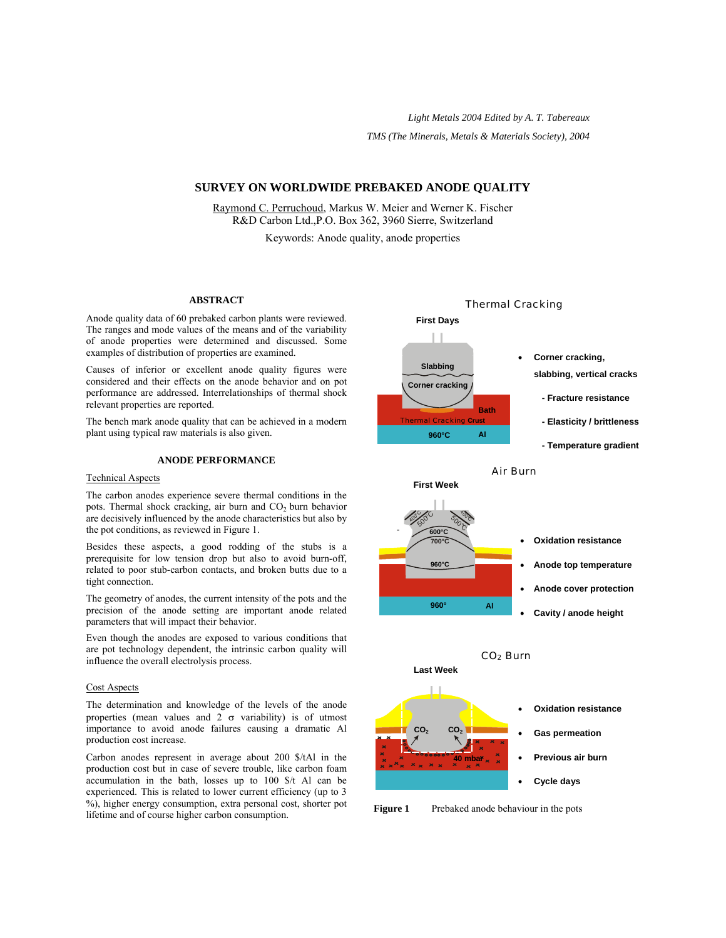*Light Metals 2004 Edited by A. T. Tabereaux TMS (The Minerals, Metals & Materials Society), 2004*

# **SURVEY ON WORLDWIDE PREBAKED ANODE QUALITY**

Raymond C. Perruchoud, Markus W. Meier and Werner K. Fischer R&D Carbon Ltd.,P.O. Box 362, 3960 Sierre, Switzerland Keywords: Anode quality, anode properties

#### **ABSTRACT**

Anode quality data of 60 prebaked carbon plants were reviewed. The ranges and mode values of the means and of the variability of anode properties were determined and discussed. Some examples of distribution of properties are examined.

Causes of inferior or excellent anode quality figures were considered and their effects on the anode behavior and on pot performance are addressed. Interrelationships of thermal shock relevant properties are reported.

The bench mark anode quality that can be achieved in a modern plant using typical raw materials is also given.

### **ANODE PERFORMANCE**

#### Technical Aspects

The carbon anodes experience severe thermal conditions in the pots. Thermal shock cracking, air burn and  $CO<sub>2</sub>$  burn behavior are decisively influenced by the anode characteristics but also by the pot conditions, as reviewed in Figure 1.

Besides these aspects, a good rodding of the stubs is a prerequisite for low tension drop but also to avoid burn-off, related to poor stub-carbon contacts, and broken butts due to a tight connection.

The geometry of anodes, the current intensity of the pots and the precision of the anode setting are important anode related parameters that will impact their behavior.

Even though the anodes are exposed to various conditions that are pot technology dependent, the intrinsic carbon quality will influence the overall electrolysis process.

#### Cost Aspects

The determination and knowledge of the levels of the anode properties (mean values and 2  $\sigma$  variability) is of utmost importance to avoid anode failures causing a dramatic Al production cost increase.

Carbon anodes represent in average about 200 \$/tAl in the production cost but in case of severe trouble, like carbon foam accumulation in the bath, losses up to 100 \$/t Al can be experienced. This is related to lower current efficiency (up to 3 %), higher energy consumption, extra personal cost, shorter pot Figure 1 Prebaked anode behaviour in the pots<br>lifetime and of course higher carbon consumption.

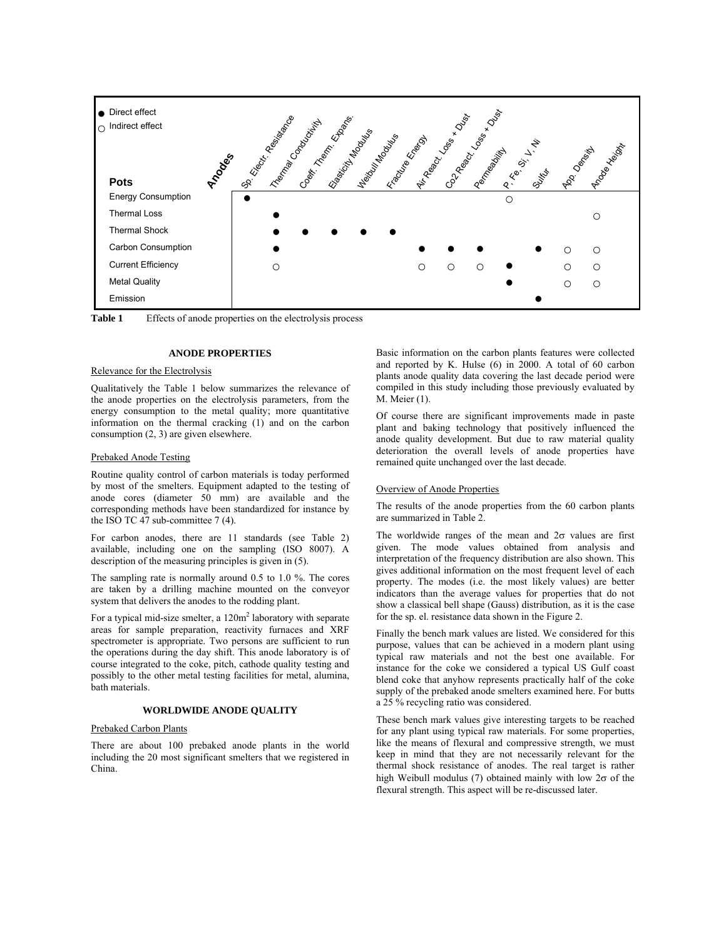

Table 1 Effects of anode properties on the electrolysis process

## **ANODE PROPERTIES**

### Relevance for the Electrolysis

Qualitatively the Table 1 below summarizes the relevance of the anode properties on the electrolysis parameters, from the energy consumption to the metal quality; more quantitative information on the thermal cracking (1) and on the carbon consumption (2, 3) are given elsewhere.

#### Prebaked Anode Testing

Routine quality control of carbon materials is today performed by most of the smelters. Equipment adapted to the testing of anode cores (diameter 50 mm) are available and the corresponding methods have been standardized for instance by the ISO TC 47 sub-committee 7 (4).

For carbon anodes, there are 11 standards (see Table 2) available, including one on the sampling (ISO 8007). A description of the measuring principles is given in (5).

The sampling rate is normally around 0.5 to 1.0 %. The cores are taken by a drilling machine mounted on the conveyor system that delivers the anodes to the rodding plant.

For a typical mid-size smelter, a  $120m^2$  laboratory with separate areas for sample preparation, reactivity furnaces and XRF spectrometer is appropriate. Two persons are sufficient to run the operations during the day shift. This anode laboratory is of course integrated to the coke, pitch, cathode quality testing and possibly to the other metal testing facilities for metal, alumina, bath materials.

# **WORLDWIDE ANODE QUALITY**

### Prebaked Carbon Plants

There are about 100 prebaked anode plants in the world including the 20 most significant smelters that we registered in China.

Basic information on the carbon plants features were collected and reported by K. Hulse (6) in 2000. A total of 60 carbon plants anode quality data covering the last decade period were compiled in this study including those previously evaluated by M. Meier (1).

Of course there are significant improvements made in paste plant and baking technology that positively influenced the anode quality development. But due to raw material quality deterioration the overall levels of anode properties have remained quite unchanged over the last decade.

#### Overview of Anode Properties

The results of the anode properties from the 60 carbon plants are summarized in Table 2.

The worldwide ranges of the mean and  $2\sigma$  values are first given. The mode values obtained from analysis and interpretation of the frequency distribution are also shown. This gives additional information on the most frequent level of each property. The modes (i.e. the most likely values) are better indicators than the average values for properties that do not show a classical bell shape (Gauss) distribution, as it is the case for the sp. el. resistance data shown in the Figure 2.

Finally the bench mark values are listed. We considered for this purpose, values that can be achieved in a modern plant using typical raw materials and not the best one available. For instance for the coke we considered a typical US Gulf coast blend coke that anyhow represents practically half of the coke supply of the prebaked anode smelters examined here. For butts a 25 % recycling ratio was considered.

These bench mark values give interesting targets to be reached for any plant using typical raw materials. For some properties, like the means of flexural and compressive strength, we must keep in mind that they are not necessarily relevant for the thermal shock resistance of anodes. The real target is rather high Weibull modulus (7) obtained mainly with low  $2\sigma$  of the flexural strength. This aspect will be re-discussed later.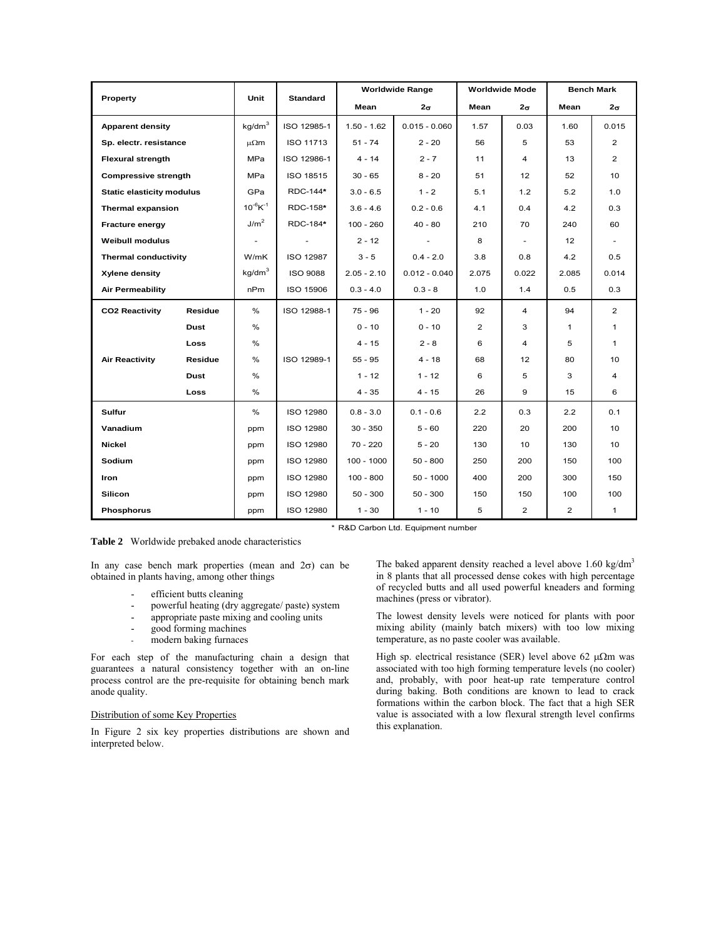| Property                         |             | Unit                      | <b>Standard</b>  | <b>Worldwide Range</b> |                 | <b>Worldwide Mode</b> |                | <b>Bench Mark</b> |                 |
|----------------------------------|-------------|---------------------------|------------------|------------------------|-----------------|-----------------------|----------------|-------------------|-----------------|
|                                  |             |                           |                  | Mean                   | 2σ              | Mean                  | $2\sigma$      | Mean              | $2\sigma$       |
| <b>Apparent density</b>          |             | kg/dm <sup>3</sup>        | ISO 12985-1      | $1.50 - 1.62$          | $0.015 - 0.060$ | 1.57                  | 0.03           | 1.60              | 0.015           |
| Sp. electr. resistance           |             | μ $Ωm$                    | ISO 11713        | $51 - 74$              | $2 - 20$        | 56                    | 5              | 53                | $\overline{2}$  |
| <b>Flexural strength</b>         |             | <b>MPa</b>                | ISO 12986-1      | $4 - 14$               | $2 - 7$         | 11                    | 4              | 13                | $\overline{2}$  |
| <b>Compressive strength</b>      |             | <b>MPa</b>                | ISO 18515        | $30 - 65$              | $8 - 20$        | 51                    | 12             | 52                | 10 <sup>1</sup> |
| <b>Static elasticity modulus</b> |             | GPa                       | RDC-144*         | $3.0 - 6.5$            | $1 - 2$         | 5.1                   | 1.2            | 5.2               | 1.0             |
| <b>Thermal expansion</b>         |             | $10^{-6}$ K <sup>-1</sup> | RDC-158*         | $3.6 - 4.6$            | $0.2 - 0.6$     | 4.1                   | 0.4            | 4.2               | 0.3             |
| Fracture energy                  |             | J/m <sup>2</sup>          | RDC-184*         | $100 - 260$            | $40 - 80$       | 210                   | 70             | 240               | 60              |
| <b>Weibull modulus</b>           |             |                           |                  | $2 - 12$               |                 | 8                     |                | 12                |                 |
| <b>Thermal conductivity</b>      |             | W/mK                      | <b>ISO 12987</b> | $3 - 5$                | $0.4 - 2.0$     | 3.8                   | 0.8            | 4.2               | 0.5             |
| Xylene density                   |             | kg/dm <sup>3</sup>        | <b>ISO 9088</b>  | $2.05 - 2.10$          | $0.012 - 0.040$ | 2.075                 | 0.022          | 2.085             | 0.014           |
| <b>Air Permeability</b>          |             | nPm                       | ISO 15906        | $0.3 - 4.0$            | $0.3 - 8$       | 1.0                   | 1.4            | 0.5               | 0.3             |
| <b>CO2 Reactivity</b>            | Residue     | %                         | ISO 12988-1      | $75 - 96$              | $1 - 20$        | 92                    | $\overline{4}$ | 94                | $\overline{2}$  |
|                                  | Dust        | %                         |                  | $0 - 10$               | $0 - 10$        | $\overline{2}$        | 3              | 1                 | $\mathbf{1}$    |
|                                  | <b>Loss</b> | %                         |                  | $4 - 15$               | $2 - 8$         | 6                     | 4              | 5                 | 1               |
| <b>Air Reactivity</b>            | Residue     | %                         | ISO 12989-1      | $55 - 95$              | $4 - 18$        | 68                    | 12             | 80                | 10              |
|                                  | <b>Dust</b> | %                         |                  | $1 - 12$               | $1 - 12$        | 6                     | 5              | 3                 | 4               |
|                                  | Loss        | %                         |                  | $4 - 35$               | $4 - 15$        | 26                    | 9              | 15                | 6               |
| Sulfur                           |             | %                         | ISO 12980        | $0.8 - 3.0$            | $0.1 - 0.6$     | 2.2                   | 0.3            | 2.2               | 0.1             |
| Vanadium                         |             | ppm                       | ISO 12980        | $30 - 350$             | $5 - 60$        | 220                   | 20             | 200               | 10              |
| <b>Nickel</b>                    |             | ppm                       | <b>ISO 12980</b> | $70 - 220$             | $5 - 20$        | 130                   | 10             | 130               | 10              |
| Sodium                           |             | ppm                       | <b>ISO 12980</b> | $100 - 1000$           | $50 - 800$      | 250                   | 200            | 150               | 100             |
| <b>Iron</b>                      |             | ppm                       | <b>ISO 12980</b> | $100 - 800$            | $50 - 1000$     | 400                   | 200            | 300               | 150             |
| <b>Silicon</b>                   |             | ppm                       | ISO 12980        | $50 - 300$             | $50 - 300$      | 150                   | 150            | 100               | 100             |
| <b>Phosphorus</b>                |             | ppm                       | <b>ISO 12980</b> | $1 - 30$               | $1 - 10$        | 5                     | $\overline{2}$ | $\overline{2}$    | $\mathbf{1}$    |

**Table 2** Worldwide prebaked anode characteristics

In any case bench mark properties (mean and  $2\sigma$ ) can be obtained in plants having, among other things

- efficient butts cleaning
- powerful heating (dry aggregate/ paste) system<br>appropriate paste mixing and cooling units
- appropriate paste mixing and cooling units
- good forming machines
- modern baking furnaces

For each step of the manufacturing chain a design that guarantees a natural consistency together with an on-line process control are the pre-requisite for obtaining bench mark anode quality.

# Distribution of some Key Properties

In Figure 2 six key properties distributions are shown and interpreted below.

\* R&D Carbon Ltd. Equipment number

The baked apparent density reached a level above 1.60 kg/dm<sup>3</sup> in 8 plants that all processed dense cokes with high percentage of recycled butts and all used powerful kneaders and forming machines (press or vibrator).

The lowest density levels were noticed for plants with poor mixing ability (mainly batch mixers) with too low mixing temperature, as no paste cooler was available.

High sp. electrical resistance (SER) level above 62  $\mu\Omega$ m was associated with too high forming temperature levels (no cooler) and, probably, with poor heat-up rate temperature control during baking. Both conditions are known to lead to crack formations within the carbon block. The fact that a high SER value is associated with a low flexural strength level confirms this explanation.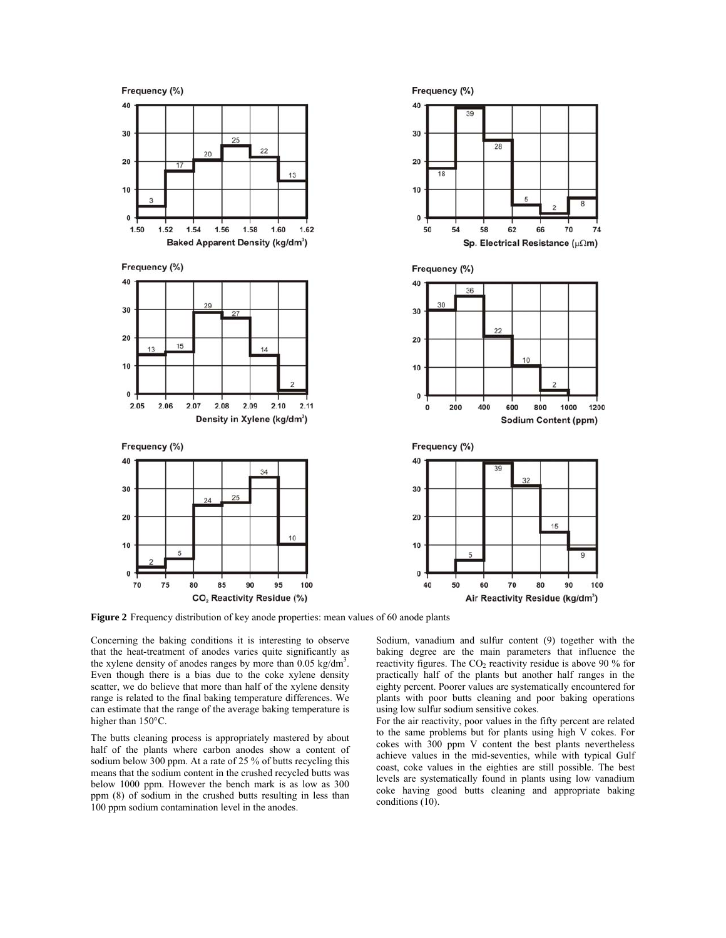

**Figure 2** Frequency distribution of key anode properties: mean values of 60 anode plants

Concerning the baking conditions it is interesting to observe that the heat-treatment of anodes varies quite significantly as the xylene density of anodes ranges by more than  $0.05 \text{ kg/dm}^3$ . Even though there is a bias due to the coke xylene density scatter, we do believe that more than half of the xylene density range is related to the final baking temperature differences. We can estimate that the range of the average baking temperature is higher than 150°C.

The butts cleaning process is appropriately mastered by about half of the plants where carbon anodes show a content of sodium below 300 ppm. At a rate of 25 % of butts recycling this means that the sodium content in the crushed recycled butts was below 1000 ppm. However the bench mark is as low as 300 ppm (8) of sodium in the crushed butts resulting in less than 100 ppm sodium contamination level in the anodes.

Sodium, vanadium and sulfur content (9) together with the baking degree are the main parameters that influence the reactivity figures. The  $CO<sub>2</sub>$  reactivity residue is above 90 % for practically half of the plants but another half ranges in the eighty percent. Poorer values are systematically encountered for plants with poor butts cleaning and poor baking operations using low sulfur sodium sensitive cokes.

For the air reactivity, poor values in the fifty percent are related to the same problems but for plants using high V cokes. For cokes with 300 ppm V content the best plants nevertheless achieve values in the mid-seventies, while with typical Gulf coast, coke values in the eighties are still possible. The best levels are systematically found in plants using low vanadium coke having good butts cleaning and appropriate baking conditions (10).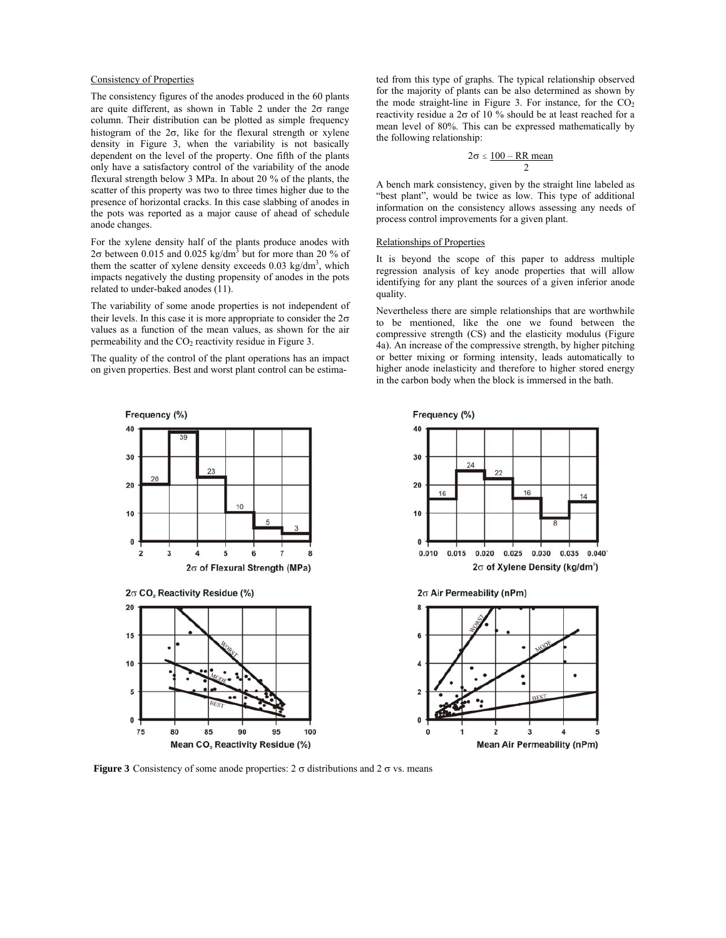# Consistency of Properties

The consistency figures of the anodes produced in the 60 plants are quite different, as shown in Table 2 under the  $2\sigma$  range column. Their distribution can be plotted as simple frequency histogram of the  $2\sigma$ , like for the flexural strength or xylene density in Figure 3, when the variability is not basically dependent on the level of the property. One fifth of the plants only have a satisfactory control of the variability of the anode flexural strength below 3 MPa. In about 20 % of the plants, the scatter of this property was two to three times higher due to the presence of horizontal cracks. In this case slabbing of anodes in the pots was reported as a major cause of ahead of schedule anode changes.

For the xylene density half of the plants produce anodes with 2 $\sigma$  between 0.015 and 0.025 kg/dm<sup>3</sup> but for more than 20 % of them the scatter of xylene density exceeds  $0.03 \text{ kg/dm}^3$ , which impacts negatively the dusting propensity of anodes in the pots related to under-baked anodes (11).

The variability of some anode properties is not independent of their levels. In this case it is more appropriate to consider the  $2\sigma$ values as a function of the mean values, as shown for the air permeability and the  $CO<sub>2</sub>$  reactivity residue in Figure 3.

The quality of the control of the plant operations has an impact on given properties. Best and worst plant control can be estima-

ted from this type of graphs. The typical relationship observed for the majority of plants can be also determined as shown by the mode straight-line in Figure 3. For instance, for the  $CO<sub>2</sub>$ reactivity residue a 2σ of 10 % should be at least reached for a mean level of 80%. This can be expressed mathematically by the following relationship:

$$
2\sigma \leq \frac{100 - RR \text{ mean}}{2}
$$

A bench mark consistency, given by the straight line labeled as "best plant", would be twice as low. This type of additional information on the consistency allows assessing any needs of process control improvements for a given plant.

# Relationships of Properties

It is beyond the scope of this paper to address multiple regression analysis of key anode properties that will allow identifying for any plant the sources of a given inferior anode quality.

Nevertheless there are simple relationships that are worthwhile to be mentioned, like the one we found between the compressive strength (CS) and the elasticity modulus (Figure 4a). An increase of the compressive strength, by higher pitching or better mixing or forming intensity, leads automatically to higher anode inelasticity and therefore to higher stored energy in the carbon body when the block is immersed in the bath.



**Figure 3** Consistency of some anode properties:  $2 \sigma$  distributions and  $2 \sigma$  vs. means